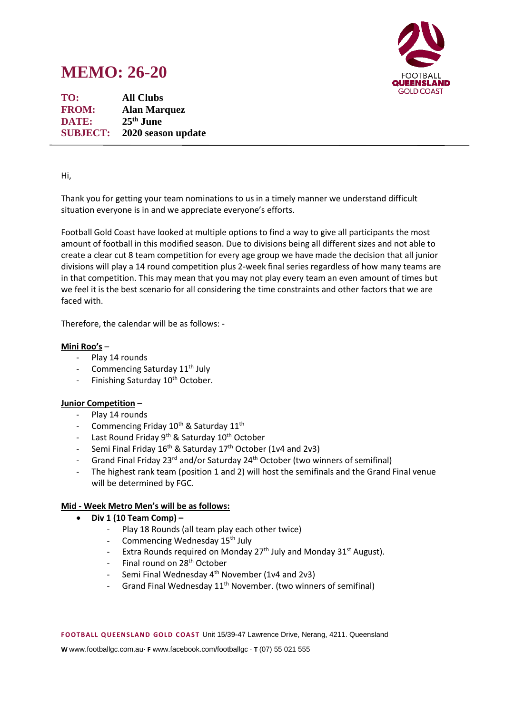# **MEMO: 26-20**



**TO: All Clubs FROM: Alan Marquez DATE: 25th June SUBJECT: 2020 season update**

## Hi,

Thank you for getting your team nominations to us in a timely manner we understand difficult situation everyone is in and we appreciate everyone's efforts.

Football Gold Coast have looked at multiple options to find a way to give all participants the most amount of football in this modified season. Due to divisions being all different sizes and not able to create a clear cut 8 team competition for every age group we have made the decision that all junior divisions will play a 14 round competition plus 2-week final series regardless of how many teams are in that competition. This may mean that you may not play every team an even amount of times but we feel it is the best scenario for all considering the time constraints and other factors that we are faced with.

Therefore, the calendar will be as follows: -

### **Mini Roo's** –

- Play 14 rounds
- Commencing Saturday 11<sup>th</sup> July
- Finishing Saturday 10<sup>th</sup> October.

#### **Junior Competition** –

- Play 14 rounds
- Commencing Friday 10<sup>th</sup> & Saturday 11<sup>th</sup>
- Last Round Friday 9<sup>th</sup> & Saturday 10<sup>th</sup> October
- Semi Final Friday 16<sup>th</sup> & Saturday 17<sup>th</sup> October (1v4 and 2v3)
- Grand Final Friday 23<sup>rd</sup> and/or Saturday 24<sup>th</sup> October (two winners of semifinal)
- The highest rank team (position 1 and 2) will host the semifinals and the Grand Final venue will be determined by FGC.

#### **Mid - Week Metro Men's will be as follows:**

- **Div 1 (10 Team Comp) –**
	- Play 18 Rounds (all team play each other twice)
	- Commencing Wednesday 15<sup>th</sup> July
	- Extra Rounds required on Monday  $27<sup>th</sup>$  July and Monday  $31<sup>st</sup>$  August).
	- Final round on 28<sup>th</sup> October
	- Semi Final Wednesday 4<sup>th</sup> November (1v4 and 2v3)
	- Grand Final Wednesday 11<sup>th</sup> November. (two winners of semifinal)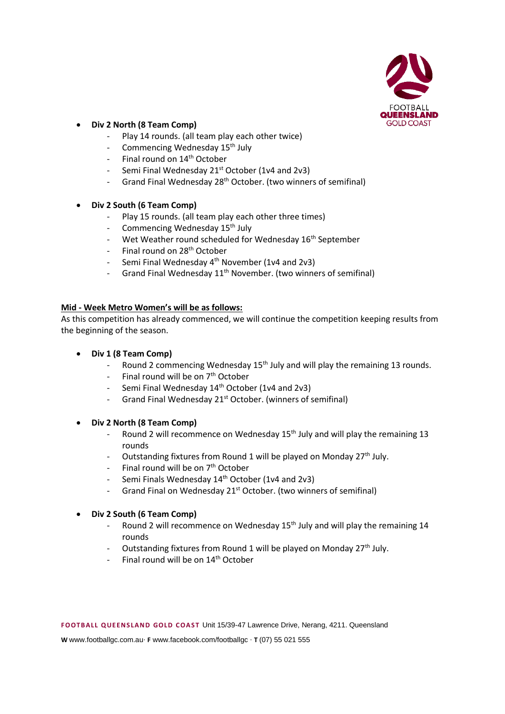

## • **Div 2 North (8 Team Comp)**

- Play 14 rounds. (all team play each other twice)
- Commencing Wednesday 15<sup>th</sup> July
- Final round on 14<sup>th</sup> October
- Semi Final Wednesday  $21^{st}$  October (1v4 and 2v3)
- Grand Final Wednesday 28<sup>th</sup> October. (two winners of semifinal)
- **Div 2 South (6 Team Comp)** 
	- Play 15 rounds. (all team play each other three times)
	- Commencing Wednesday 15<sup>th</sup> July
	- Wet Weather round scheduled for Wednesday 16<sup>th</sup> September
	- Final round on 28<sup>th</sup> October
	- Semi Final Wednesday 4<sup>th</sup> November (1v4 and 2v3)
	- Grand Final Wednesday 11<sup>th</sup> November. (two winners of semifinal)

## **Mid - Week Metro Women's will be as follows:**

As this competition has already commenced, we will continue the competition keeping results from the beginning of the season.

- **Div 1 (8 Team Comp)** 
	- Round 2 commencing Wednesday  $15<sup>th</sup>$  July and will play the remaining 13 rounds.
	- Final round will be on  $7<sup>th</sup>$  October
	- Semi Final Wednesday 14<sup>th</sup> October (1v4 and 2v3)
	- Grand Final Wednesday 21<sup>st</sup> October. (winners of semifinal)
- **Div 2 North (8 Team Comp)** 
	- Round 2 will recommence on Wednesday 15<sup>th</sup> July and will play the remaining 13 rounds
	- Outstanding fixtures from Round 1 will be played on Monday 27<sup>th</sup> July.
	- Final round will be on 7<sup>th</sup> October
	- Semi Finals Wednesday 14<sup>th</sup> October (1v4 and 2v3)
	- Grand Final on Wednesday 21<sup>st</sup> October. (two winners of semifinal)
- **Div 2 South (6 Team Comp)** 
	- Round 2 will recommence on Wednesday 15<sup>th</sup> July and will play the remaining 14 rounds
	- Outstanding fixtures from Round 1 will be played on Monday 27<sup>th</sup> July.
	- Final round will be on  $14<sup>th</sup>$  October

**W** www.footballgc.com.au. **F** www.facebook.com/footballgc . **T** (07) 55 021 555